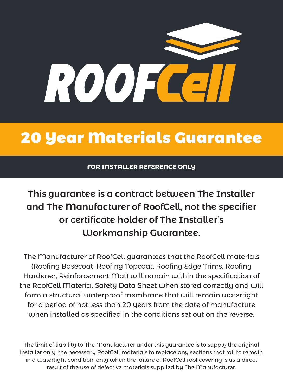

## 20 Year Materials Guarantee

**FOR INSTALLER REFERENCE ONLY**

## This guarantee is a contract between The Installer and The Manufacturer of RoofCell, not the specifier or certificate holder of The Installer's Workmanship Guarantee.

The Manufacturer of RoofCell guarantees that the RoofCell materials (Roofing Basecoat, Roofing Topcoat, Roofing Edge Trims, Roofing Hardener, Reinforcement Mat) will remain within the specification of the RoofCell Material Safety Data Sheet when stored correctly and will form a structural waterproof membrane that will remain watertight for a period of not less than 20 years from the date of manufacture when installed as specified in the conditions set out on the reverse.

The limit of liability to The Manufacturer under this guarantee is to supply the original installer only, the necessary RoofCell materials to replace any sections that fail to remain in a watertight condition, only when the failure of RoofCell roof covering is as a direct result of the use of defective materials supplied by The Manufacturer.